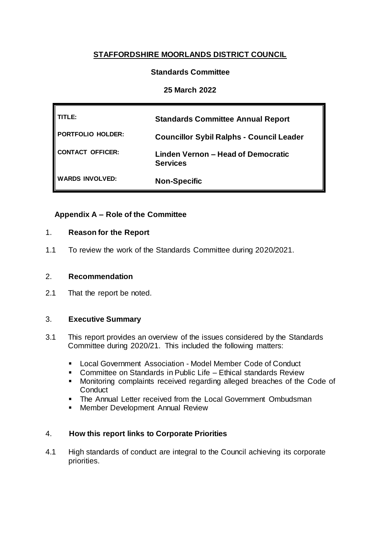# **STAFFORDSHIRE MOORLANDS DISTRICT COUNCIL**

## **Standards Committee**

## **25 March 2022**

| TITLE:                 | <b>Standards Committee Annual Report</b>              |
|------------------------|-------------------------------------------------------|
| PORTFOLIO HOLDER:      | <b>Councillor Sybil Ralphs - Council Leader</b>       |
| CONTACT OFFICER:       | Linden Vernon – Head of Democratic<br><b>Services</b> |
| <b>WARDS INVOLVED:</b> | <b>Non-Specific</b>                                   |

## **Appendix A – Role of the Committee**

## 1. **Reason for the Report**

1.1 To review the work of the Standards Committee during 2020/2021.

## 2. **Recommendation**

2.1 That the report be noted.

## 3. **Executive Summary**

- 3.1 This report provides an overview of the issues considered by the Standards Committee during 2020/21. This included the following matters:
	- Local Government Association Model Member Code of Conduct
	- Committee on Standards in Public Life Ethical standards Review
	- Monitoring complaints received regarding alleged breaches of the Code of **Conduct**
	- The Annual Letter received from the Local Government Ombudsman
	- **Member Development Annual Review**

## 4. **How this report links to Corporate Priorities**

4.1 High standards of conduct are integral to the Council achieving its corporate priorities.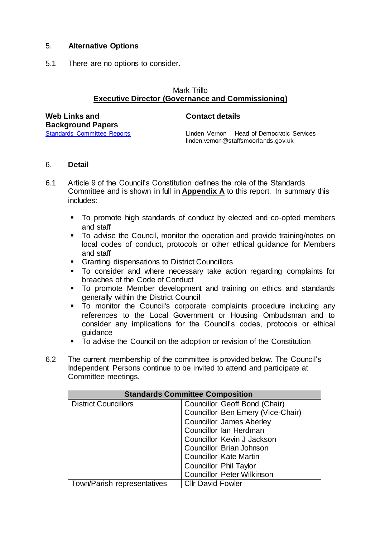## 5. **Alternative Options**

5.1 There are no options to consider.

#### Mark Trillo **Executive Director (Governance and Commissioning)**

| <b>Web Links and</b>        |  |  |  |  |  |
|-----------------------------|--|--|--|--|--|
| <b>Background Papers</b>    |  |  |  |  |  |
| Standards Committee Reports |  |  |  |  |  |

#### **Contact details**

Linden Vernon – Head of Democratic Services linden.vernon@staffsmoorlands.gov.uk

#### 6. **Detail**

- 6.1 Article 9 of the Council's Constitution defines the role of the Standards Committee and is shown in full in **Appendix A** to this report. In summary this includes:
	- To promote high standards of conduct by elected and co-opted members and staff
	- To advise the Council, monitor the operation and provide training/notes on local codes of conduct, protocols or other ethical guidance for Members and staff
	- **Granting dispensations to District Councillors**
	- To consider and where necessary take action regarding complaints for breaches of the Code of Conduct
	- To promote Member development and training on ethics and standards generally within the District Council
	- To monitor the Council's corporate complaints procedure including any references to the Local Government or Housing Ombudsman and to consider any implications for the Council's codes, protocols or ethical guidance
	- To advise the Council on the adoption or revision of the Constitution
- 6.2 The current membership of the committee is provided below. The Council's Independent Persons continue to be invited to attend and participate at Committee meetings.

| <b>Standards Committee Composition</b> |                                   |  |  |
|----------------------------------------|-----------------------------------|--|--|
| <b>District Councillors</b>            | Councillor Geoff Bond (Chair)     |  |  |
|                                        | Councillor Ben Emery (Vice-Chair) |  |  |
|                                        | <b>Councillor James Aberley</b>   |  |  |
|                                        | Councillor lan Herdman            |  |  |
|                                        | Councillor Kevin J Jackson        |  |  |
|                                        | Councillor Brian Johnson          |  |  |
|                                        | <b>Councillor Kate Martin</b>     |  |  |
|                                        | <b>Councillor Phil Taylor</b>     |  |  |
|                                        | <b>Councillor Peter Wilkinson</b> |  |  |
| Town/Parish representatives            | <b>Cllr David Fowler</b>          |  |  |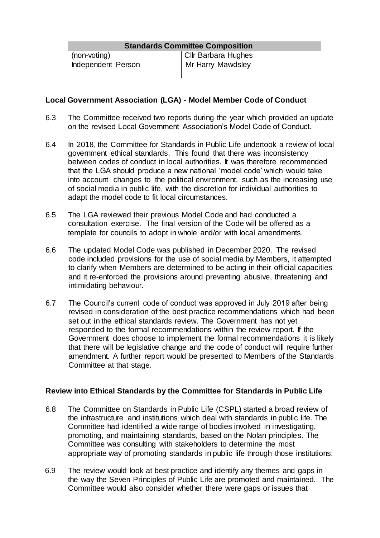| <b>Standards Committee Composition</b> |                     |  |  |
|----------------------------------------|---------------------|--|--|
| (non-voting)                           | Cllr Barbara Hughes |  |  |
| Independent Person                     | Mr Harry Mawdsley   |  |  |

## **Local Government Association (LGA) - Model Member Code of Conduct**

- 6.3 The Committee received two reports during the year which provided an update on the revised Local Government Association's Model Code of Conduct.
- 6.4 In 2018, the Committee for Standards in Public Life undertook a review of local government ethical standards. This found that there was inconsistency between codes of conduct in local authorities. It was therefore recommended that the LGA should produce a new national 'model code' which would take into account changes to the political environment, such as the increasing use of social media in public life, with the discretion for individual authorities to adapt the model code to fit local circumstances.
- 6.5 The LGA reviewed their previous Model Code and had conducted a consultation exercise. The final version of the Code will be offered as a template for councils to adopt in whole and/or with local amendments.
- 6.6 The updated Model Code was published in December 2020. The revised code included provisions for the use of social media by Members, it attempted to clarify when Members are determined to be acting in their official capacities and it re-enforced the provisions around preventing abusive, threatening and intimidating behaviour.
- 6.7 The Council's current code of conduct was approved in July 2019 after being revised in consideration of the best practice recommendations which had been set out in the ethical standards review. The Government has not yet responded to the formal recommendations within the review report. If the Government does choose to implement the formal recommendations it is likely that there will be legislative change and the code of conduct will require further amendment. A further report would be presented to Members of the Standards Committee at that stage.

## **Review into Ethical Standards by the Committee for Standards in Public Life**

- 6.8 The Committee on Standards in Public Life (CSPL) started a broad review of the infrastructure and institutions which deal with standards in public life. The Committee had identified a wide range of bodies involved in investigating, promoting, and maintaining standards, based on the Nolan principles. The Committee was consulting with stakeholders to determine the most appropriate way of promoting standards in public life through those institutions.
- 6.9 The review would look at best practice and identify any themes and gaps in the way the Seven Principles of Public Life are promoted and maintained. The Committee would also consider whether there were gaps or issues that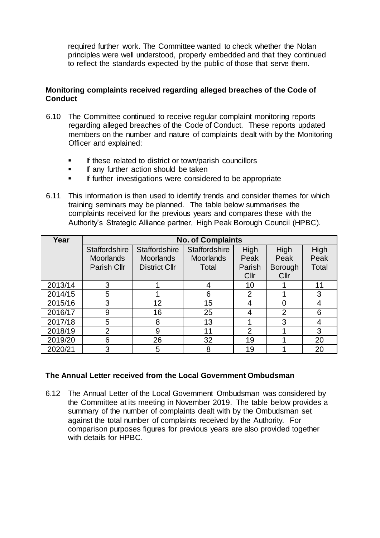required further work. The Committee wanted to check whether the Nolan principles were well understood, properly embedded and that they continued to reflect the standards expected by the public of those that serve them.

## **Monitoring complaints received regarding alleged breaches of the Code of Conduct**

- 6.10 The Committee continued to receive regular complaint monitoring reports regarding alleged breaches of the Code of Conduct. These reports updated members on the number and nature of complaints dealt with by the Monitoring Officer and explained:
	- If these related to district or town/parish councillors
	- **If any further action should be taken**
	- If further investigations were considered to be appropriate
- 6.11 This information is then used to identify trends and consider themes for which training seminars may be planned. The table below summarises the complaints received for the previous years and compares these with the Authority's Strategic Alliance partner, High Peak Borough Council (HPBC).

| Year    | <b>No. of Complaints</b> |                      |                      |                 |                 |       |
|---------|--------------------------|----------------------|----------------------|-----------------|-----------------|-------|
|         | <b>Staffordshire</b>     | <b>Staffordshire</b> | <b>Staffordshire</b> | High            | High            | High  |
|         | <b>Moorlands</b>         | <b>Moorlands</b>     | <b>Moorlands</b>     | Peak            | Peak            | Peak  |
|         | Parish Cllr              | <b>District Cllr</b> | Total                | Parish          | <b>Borough</b>  | Total |
|         |                          |                      |                      | Cl <sub>l</sub> | Cl <sub>l</sub> |       |
| 2013/14 | 3                        |                      | 4                    | 10              |                 | 11    |
| 2014/15 | 5                        |                      | 6                    | $\overline{2}$  |                 | 3     |
| 2015/16 | 3                        | 12                   | 15                   | 4               |                 | 4     |
| 2016/17 | 9                        | 16                   | 25                   | 4               | $\overline{2}$  | 6     |
| 2017/18 | 5                        | 8                    | 13                   |                 | 3               | 4     |
| 2018/19 | $\overline{2}$           | 9                    | 11                   | $\overline{2}$  |                 | 3     |
| 2019/20 | 6                        | 26                   | 32                   | 19              |                 | 20    |
| 2020/21 | 3                        | 5                    | 8                    | 19              |                 | 20    |

## **The Annual Letter received from the Local Government Ombudsman**

6.12 The Annual Letter of the Local Government Ombudsman was considered by the Committee at its meeting in November 2019. The table below provides a summary of the number of complaints dealt with by the Ombudsman set against the total number of complaints received by the Authority. For comparison purposes figures for previous years are also provided together with details for HPBC.